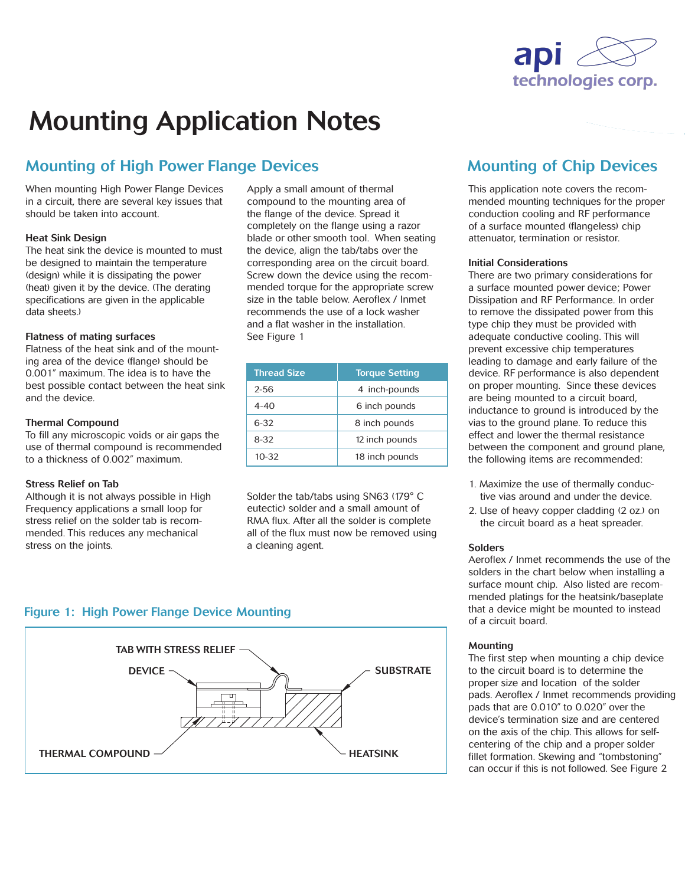

# Mounting Application Notes

## Mounting of High Power Flange Devices Mounting of Chip Devices

When mounting High Power Flange Devices in a circuit, there are several key issues that should be taken into account.

#### Heat Sink Design

The heat sink the device is mounted to must be designed to maintain the temperature (design) while it is dissipating the power (heat) given it by the device. (The derating specifications are given in the applicable data sheets.)

#### Flatness of mating surfaces

Flatness of the heat sink and of the mounting area of the device (flange) should be 0.001" maximum. The idea is to have the best possible contact between the heat sink and the device.

#### Thermal Compound

To fill any microscopic voids or air gaps the use of thermal compound is recommended to a thickness of 0.002" maximum.

#### Stress Relief on Tab

Although it is not always possible in High Frequency applications a small loop for stress relief on the solder tab is recommended. This reduces any mechanical stress on the joints.

Apply a small amount of thermal compound to the mounting area of the flange of the device. Spread it completely on the flange using a razor blade or other smooth tool. When seating the device, align the tab/tabs over the corresponding area on the circuit board. Screw down the device using the recommended torque for the appropriate screw size in the table below. Aeroflex / Inmet recommends the use of a lock washer and a flat washer in the installation. See Figure 1

| <b>Thread Size</b> | <b>Torque Setting</b> |
|--------------------|-----------------------|
| $2 - 56$           | 4 inch-pounds         |
| $4 - 40$           | 6 inch pounds         |
| 6-32               | 8 inch pounds         |
| $8 - 32$           | 12 inch pounds        |
| $10 - 32$          | 18 inch pounds        |

Solder the tab/tabs using SN63 (179° C eutectic) solder and a small amount of RMA flux. After all the solder is complete all of the flux must now be removed using a cleaning agent.

This application note covers the recommended mounting techniques for the proper conduction cooling and RF performance of a surface mounted (flangeless) chip attenuator, termination or resistor.

#### Initial Considerations

There are two primary considerations for a surface mounted power device; Power Dissipation and RF Performance. In order to remove the dissipated power from this type chip they must be provided with adequate conductive cooling. This will prevent excessive chip temperatures leading to damage and early failure of the device. RF performance is also dependent on proper mounting. Since these devices are being mounted to a circuit board, inductance to ground is introduced by the vias to the ground plane. To reduce this effect and lower the thermal resistance between the component and ground plane, the following items are recommended:

- 1. Maximize the use of thermally conductive vias around and under the device.
- 2. Use of heavy copper cladding (2 oz.) on the circuit board as a heat spreader.

#### Solders

Aeroflex / Inmet recommends the use of the solders in the chart below when installing a surface mount chip. Also listed are recommended platings for the heatsink/baseplate that a device might be mounted to instead of a circuit board.

#### Mounting

The first step when mounting a chip device to the circuit board is to determine the proper size and location of the solder pads. Aeroflex / Inmet recommends providing pads that are 0.010" to 0.020" over the device's termination size and are centered on the axis of the chip. This allows for selfcentering of the chip and a proper solder fillet formation. Skewing and "tombstoning" can occur if this is not followed. See Figure 2

### Figure 1: High Power Flange Device Mounting